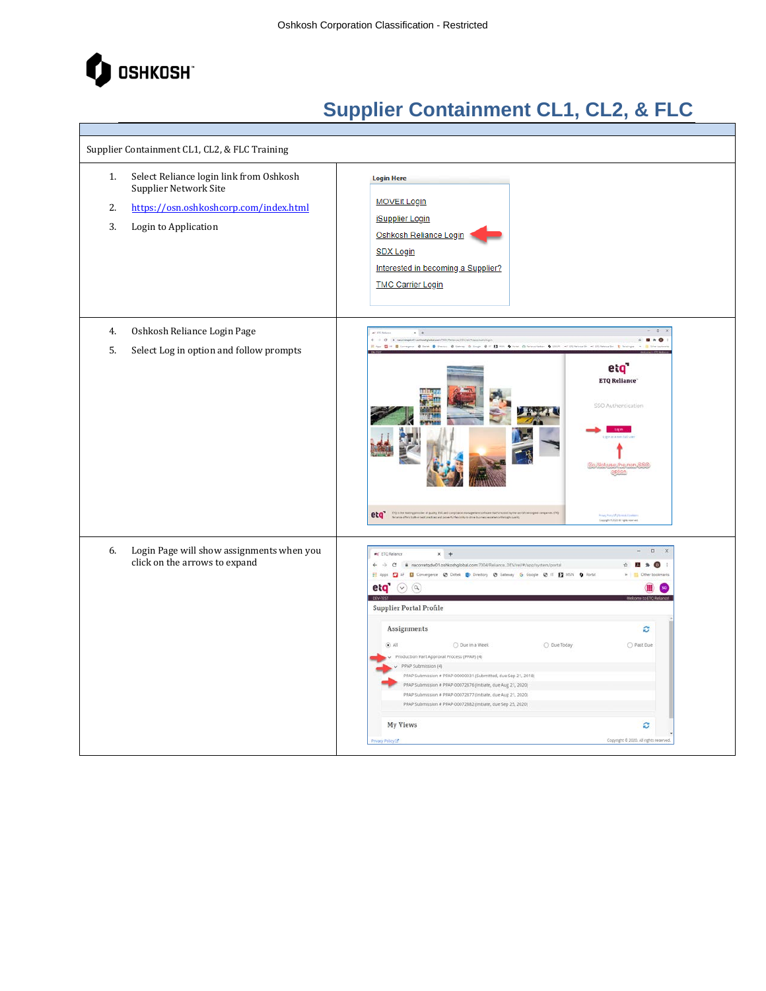

T

| Supplier Containment CL1, CL2, & FLC Training |                                                                                                                                    |                                                                                                                                                                                                                                                                                                                                                                                                                                                                                                                                                                                                                                                                                                      |  |
|-----------------------------------------------|------------------------------------------------------------------------------------------------------------------------------------|------------------------------------------------------------------------------------------------------------------------------------------------------------------------------------------------------------------------------------------------------------------------------------------------------------------------------------------------------------------------------------------------------------------------------------------------------------------------------------------------------------------------------------------------------------------------------------------------------------------------------------------------------------------------------------------------------|--|
| 1.<br>2.<br>3.                                | Select Reliance login link from Oshkosh<br>Supplier Network Site<br>https://osn.oshkoshcorp.com/index.html<br>Login to Application | <b>Login Here</b><br><b>MOVEit Login</b><br><b>iSupplier Login</b><br>Oshkosh Reliance Login<br><b>SDX Login</b><br>Interested in becoming a Supplier?<br><b>TMC Carrier Login</b>                                                                                                                                                                                                                                                                                                                                                                                                                                                                                                                   |  |
| 4.<br>5.                                      | Oshkosh Reliance Login Page<br>Select Log in option and follow prompts                                                             | $+$ $+$<br>$-0$ $-0$ $-0$ $-$<br>m Die Bon<br>wave @ lets. @ live<br>G Copy @ IT ES NOT @ form (3 feet<br>@ Grimer<br>- O USUAL WEIGHT<br>eta<br><b>ETQ Reliance</b><br>SSO Authentication<br>Do, Not use the non-SS<br>opi<br>etq <sup>*</sup> Number in the best party of a manufacturer<br>.<br>Franz Porty Of Life et al. Continue<br>Georgia X 2020, All Spiel Howvert                                                                                                                                                                                                                                                                                                                          |  |
| 6.                                            | Login Page will show assignments when you<br>click on the arrows to expand                                                         | $\Box$<br>er ETO Relance<br>$x +$<br>El Apps El AF El Convergence @ Deltek ED Directory @ Gateway G Google @ IT El MSN O Portal<br>eta $\circ$ $\circ$<br><b>Supplier Portal Profile</b><br>Assignments<br>ø<br>ik<br>O Due in a Week<br>O Due Today<br>O Past Due<br>Production Part Approval Process (PPAP) (4)<br>PPAP Submission (4)<br>PPAP Submission # PPAP-00000031 (Submitted, due Sep 21, 2018)<br>PPAP Submission # PPAP-00072876 (Initiate, due Aug 21, 2020)<br>PPAP Submission # PPAP-00072877 (Initiate, due Aug 21, 2020)<br>PPAP Submission # PPAP-00072882 (Initiate, due Sep 25, 2020)<br><b>My Views</b><br>c<br>Copyright @ 2020. All rights reserved<br><b>INacy Policy LS</b> |  |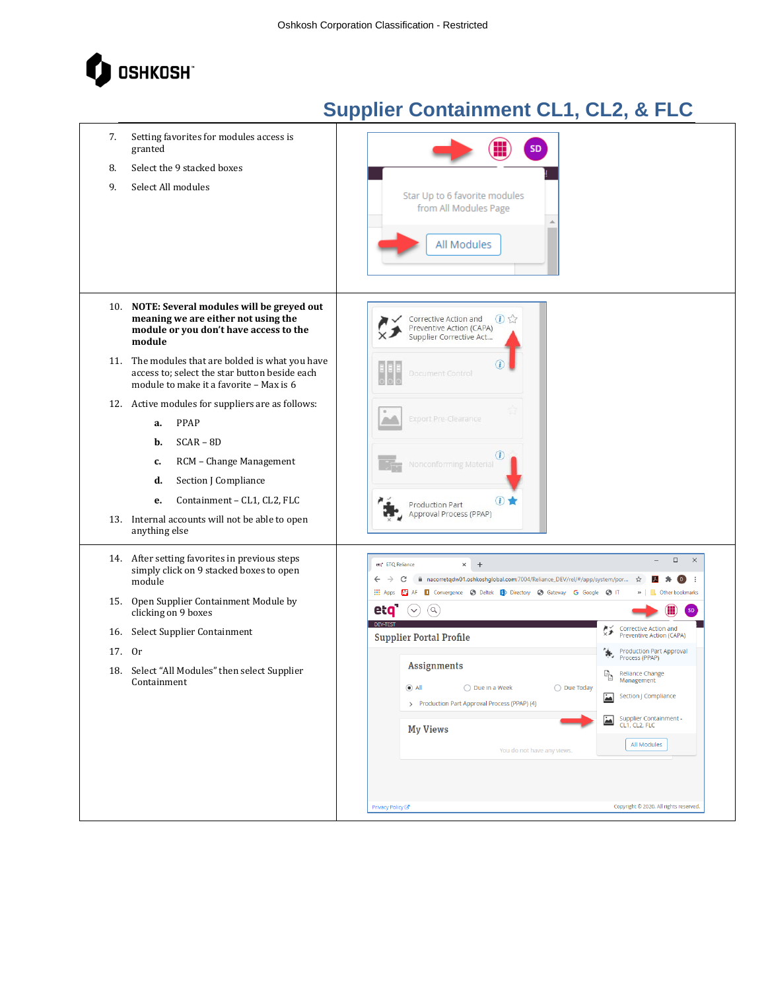

| 7.<br>8.   | Setting favorites for modules access is<br>granted<br>Select the 9 stacked boxes                                                                                                                                                                           | <b>SD</b>                                                                                                                                                                                                                                                                                                                                                                                                                                                                |
|------------|------------------------------------------------------------------------------------------------------------------------------------------------------------------------------------------------------------------------------------------------------------|--------------------------------------------------------------------------------------------------------------------------------------------------------------------------------------------------------------------------------------------------------------------------------------------------------------------------------------------------------------------------------------------------------------------------------------------------------------------------|
| 9.         | Select All modules                                                                                                                                                                                                                                         | Star Up to 6 favorite modules<br>from All Modules Page<br>All Modules                                                                                                                                                                                                                                                                                                                                                                                                    |
|            | 10. NOTE: Several modules will be greyed out<br>meaning we are either not using the<br>module or you don't have access to the<br>module                                                                                                                    | $\bigoplus$<br>Corrective Action and<br>Preventive Action (CAPA)<br>Supplier Corrective Act                                                                                                                                                                                                                                                                                                                                                                              |
|            | 11. The modules that are bolded is what you have<br>access to; select the star button beside each<br>module to make it a favorite - Max is 6                                                                                                               | Document Control                                                                                                                                                                                                                                                                                                                                                                                                                                                         |
|            | 12. Active modules for suppliers are as follows:<br>PPAP<br>а.<br>$SCAR - BD$<br>b.<br>RCM - Change Management<br>c.<br>Section J Compliance<br>d.<br>Containment - CL1, CL2, FLC<br>е.<br>13. Internal accounts will not be able to open<br>anything else | <b>Export Pre-Clearance</b><br>$\circled{t}$<br>Nonconforming Material<br>(i)<br><b>Production Part</b><br>Approval Process (PPAP)                                                                                                                                                                                                                                                                                                                                       |
|            | 14. After setting favorites in previous steps<br>simply click on 9 stacked boxes to open<br>module                                                                                                                                                         | $\Box$<br>$\times$<br>$^{+}$<br>etg <sup>*</sup> ETQ Reliance<br>$\times$<br>nacorretqdw01.oshkoshglobal.com:7004/Reliance_DEV/rel/#/app/system/por<br>- 1<br>☆<br>$\left( \begin{array}{c} D \end{array} \right)$<br>Convergence + Deltek + Directory + + Gateway + G Google + + T<br><b>III</b> Apps<br>Other bookmarks                                                                                                                                                |
| 15.        | Open Supplier Containment Module by<br>clicking on 9 boxes                                                                                                                                                                                                 | eta<br>$(\mathsf{Q})$<br><b>DEV-TEST</b>                                                                                                                                                                                                                                                                                                                                                                                                                                 |
| 16.<br>17. | Select Supplier Containment<br>0r<br>18. Select "All Modules" then select Supplier<br>Containment                                                                                                                                                          | Corrective Action and<br>赚<br>Preventive Action (CAPA)<br><b>Supplier Portal Profile</b><br>Production Part Approval<br>Process (PPAP)<br><b>Assignments</b><br>Reliance Change<br>h<br>Management<br>$\odot$ All<br>$\bigcirc$ Due in a Week<br>◯ Due Today<br>$\Delta$<br>Section J Compliance<br>> Production Part Approval Process (PPAP) (4)<br>Supplier Containment -<br>CL1, CL2, FLC<br>$\Delta$<br><b>My Views</b><br>All Modules<br>You do not have any views. |
|            |                                                                                                                                                                                                                                                            | Copyright © 2020. All rights reserved.<br>Privacy Policy $\mathbb{Z}^n$                                                                                                                                                                                                                                                                                                                                                                                                  |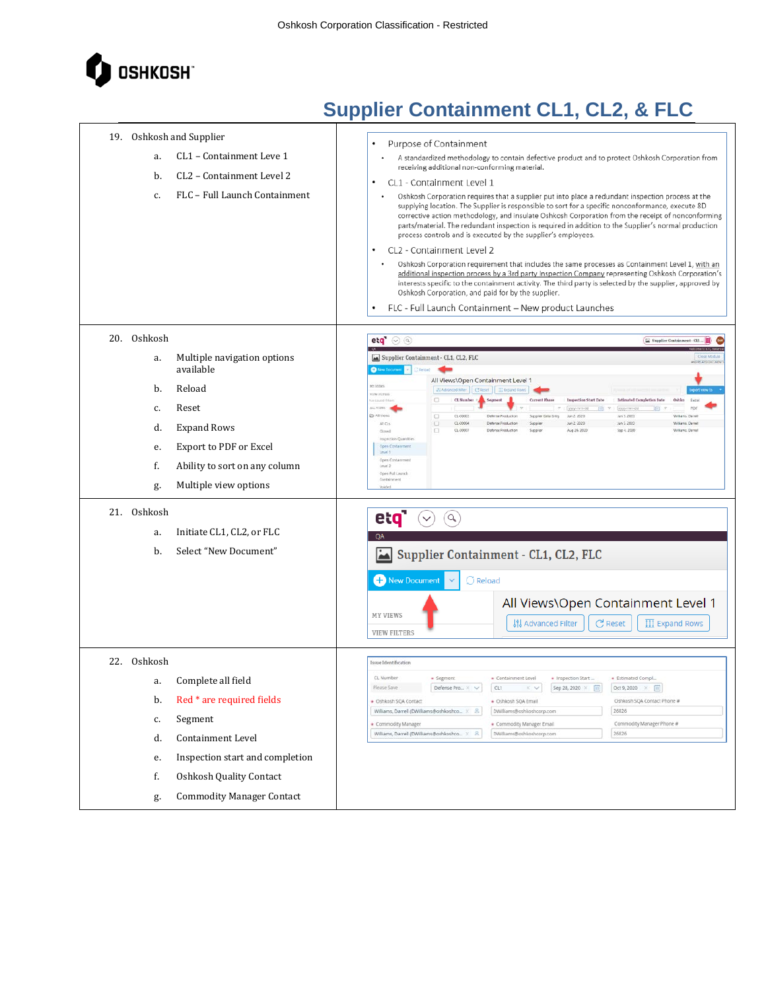

| 19. Oshkosh and Supplier<br>CL1 - Containment Leve 1<br>a.<br>CL2 - Containment Level 2<br>b.<br>FLC - Full Launch Containment<br>c.                                                                                                                                                                            | Purpose of Containment<br>A standardized methodology to contain defective product and to protect Oshkosh Corporation from<br>receiving additional non-conforming material.<br>CL1 - Containment Level 1<br>٠<br>Oshkosh Corporation requires that a supplier put into place a redundant inspection process at the<br>supplying location. The Supplier is responsible to sort for a specific nonconformance, execute 8D<br>corrective action methodology, and insulate Oshkosh Corporation from the receipt of nonconforming<br>parts/material. The redundant inspection is required in addition to the Supplier's normal production<br>process controls and is executed by the supplier's employees.<br>CL2 - Containment Level 2<br>٠<br>Oshkosh Corporation requirement that includes the same processes as Containment Level 1, with an<br>additional inspection process by a 3rd party Inspection Company representing Oshkosh Corporation's<br>interests specific to the containment activity. The third party is selected by the supplier, approved by<br>Oshkosh Corporation, and paid for by the supplier.<br>FLC - Full Launch Containment - New product Launches                                                                                           |
|-----------------------------------------------------------------------------------------------------------------------------------------------------------------------------------------------------------------------------------------------------------------------------------------------------------------|----------------------------------------------------------------------------------------------------------------------------------------------------------------------------------------------------------------------------------------------------------------------------------------------------------------------------------------------------------------------------------------------------------------------------------------------------------------------------------------------------------------------------------------------------------------------------------------------------------------------------------------------------------------------------------------------------------------------------------------------------------------------------------------------------------------------------------------------------------------------------------------------------------------------------------------------------------------------------------------------------------------------------------------------------------------------------------------------------------------------------------------------------------------------------------------------------------------------------------------------------------------------|
| 20. Oshkosh<br>Multiple navigation options<br>a.<br>available<br>Reload<br>b.<br>Reset<br>c.<br><b>Expand Rows</b><br>d.<br>Export to PDF or Excel<br>e.<br>f.<br>Ability to sort on any column<br>Multiple view options<br>g.<br>21. Oshkosh<br>Initiate CL1, CL2, or FLC<br>a.<br>Select "New Document"<br>b. | $eta$ $\odot$ $\odot$<br>Supplier Centainment - CL1 (<br>Supplier Containment - CL1, CL2, FLC<br><b>O fave Document</b><br>Cifieload<br>All Views\Open Containment Level 1<br>HY VIINT<br>29 Advanced Filter   CFREE   III Expand Rows<br><b>VICW HUTSES</b><br>O<br>CL Number<br>Segment<br><b>Current Phase</b><br>Inspection Start Date<br>Estimated Completion Date<br>Oshko<br>e saved frien<br>Excel<br>$14.3\,M_\odot$<br>PDF<br>sysy-mm-old<br>同<br>yyyy-men-cd<br>@ All Views<br>$(1-00001)$<br>Jun'5 2020<br>Defense Production<br>Supplier Data Entry<br>Jun 2, 2020<br>Williams Darrell<br>$\Box$<br>0.00034<br>A C1S<br>O<br>Defense Production<br>Supplier<br>Jun 2 2020<br>Jun 5, 2020<br>Williams, Darrell<br>$CL-COO227$<br>Aug 26, 2020<br>Sep 4, 2020<br>$\Box$<br>Dafanse Production<br>Supplet<br>Williams, Darrell<br>Closed<br>inspection Quantities<br>Open Contains<br>Tevel 1<br>Open Conte<br>Level 2<br>Open full Launch<br>et <b>q</b><br>$\alpha$<br>$\checkmark$<br><b>OA</b><br>Supplier Containment - CL1, CL2, FLC<br>المغ<br>New Document<br>$\bigcirc$ Reload<br>All Views\Open Containment Level 1<br><b>MY VIEWS</b><br><b>រៀ</b> Advanced Filter<br>$\mathcal C$ Reset<br>$\overline{III}$ Expand Rows<br><b>VIEW FILTERS</b> |
| 22. Oshkosh<br>Complete all field<br>a.<br>Red * are required fields<br>b.<br>Segment<br>c.<br><b>Containment Level</b><br>d.<br>Inspection start and completion<br>e.<br>Oshkosh Quality Contact<br>f.<br><b>Commodity Manager Contact</b><br>g.                                                               | Issue Identification<br>CL Number<br>· Containment Level<br>· Inspection Start<br>· Segment<br>* Estimated Compl<br>Defense Pro $\omega \times \sqrt{ }$<br>CL1<br>Sep 28, 2020 $\times$ [1]<br>Oct 9, 2020 $\times$<br>$\times$ $\times$<br>Oshkosh SQA Contact Phone #<br>· Oshkosh SQA Contact<br>+ Oshkosh SQA Email<br>Williams, Darrell (DWilliams@oshkoshco $\times$ $\hspace{.18cm}$ $\hspace{.18cm}$ $\hspace{.18cm}$<br>26826<br>DWilliams@oshkoshcorp.com<br>Commodity Manager Phone #<br>Commodity Manager<br>· Commodity Manager Email<br>26826<br>Williams, Darrell (DWilliams@oshkoshco X &<br>DWilliams@oshkoshcorp.com                                                                                                                                                                                                                                                                                                                                                                                                                                                                                                                                                                                                                              |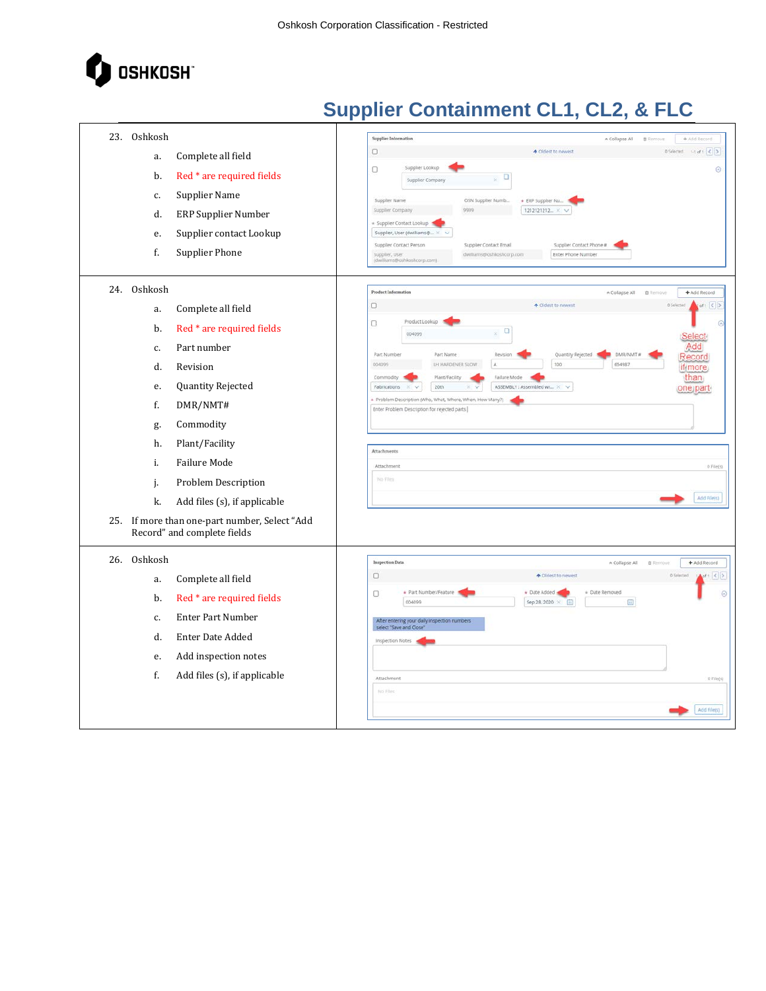

|     | 23. Oshkosh |                                                                              | Supplier Information<br>A Collapse All<br>+ Add Record<br><b>B</b> Remove                                                       |
|-----|-------------|------------------------------------------------------------------------------|---------------------------------------------------------------------------------------------------------------------------------|
|     | a.          | Complete all field                                                           | + Oldest to newest<br>OSelected filt of 1 < ><br>0                                                                              |
|     | b.          | Red * are required fields                                                    | Supplier Lookup<br>$\Box$<br>$\odot$<br>$\Box$                                                                                  |
|     |             |                                                                              | v.<br>Supplier Company                                                                                                          |
|     | c.          | Supplier Name                                                                | OSN Supplier Numb<br>Supplier Name<br>* ERP Supplier Nu.<br>$1212121212$ × $\vee$<br>Supplier Company<br>9999                   |
|     | d.          | <b>ERP Supplier Number</b>                                                   | « Supplier Contact Lookup                                                                                                       |
|     | e.          | Supplier contact Lookup                                                      | Supplier, User (dwilliams@<br>Supplier Contact Person<br>Supplier Contact Phone #<br>Supplier Contact Email                     |
|     | f.          | <b>Supplier Phone</b>                                                        | Enter Phone Number<br>Supplier, User<br>(dwilliams@oshkoshcorp.com).<br>dwilliams@oshkoshcorp.com                               |
|     |             |                                                                              |                                                                                                                                 |
|     | 24. Oshkosh |                                                                              | <b>Product Information</b><br>+ Add Record<br>A Collapse All<br><b>O</b> Remové                                                 |
|     | a.          | Complete all field                                                           | d  < 2<br><b>A</b> Oldest to newest<br>0<br>O Selected                                                                          |
|     | b.          | Red * are required fields                                                    | Product Lookup<br>O<br>$\omega$<br>o<br>š.<br>004099<br>Select                                                                  |
|     | c.          | Part number                                                                  | Add<br>Part Number<br>DMR/NMT #<br>Part Name<br>Revision<br>Quantity Rejected                                                   |
|     | d.          | Revision                                                                     | Record<br>100<br>LH HARDENER SLOW<br>$\mathbb{A}$<br>004099<br>654987<br>if more                                                |
|     | e.          | Quantity Rejected                                                            | Failure Mode<br>than<br>Plant/Facility<br>Commodity<br>ASSEMBLY : Assembled wr X V<br>Fabrications<br>20th<br>one part-<br>X V  |
|     | f.          | DMR/NMT#                                                                     | + Problem Description (Who, What, Where, When, How Many?)<br>Enter Problem Description for rejected parts                       |
|     | g.          | Commodity                                                                    |                                                                                                                                 |
|     | h.          | Plant/Facility                                                               |                                                                                                                                 |
|     | i.          | Failure Mode                                                                 | Attachments<br>Attachment<br>$0$ File(s)                                                                                        |
|     | j.          | Problem Description                                                          | No Files                                                                                                                        |
|     | k.          | Add files (s), if applicable                                                 | Add File(s)                                                                                                                     |
|     |             |                                                                              |                                                                                                                                 |
|     |             | 25. If more than one-part number, Select "Add<br>Record" and complete fields |                                                                                                                                 |
|     |             |                                                                              |                                                                                                                                 |
| 26. | Oshkosh     |                                                                              | <b>Inspection Data</b><br>* Collapse All<br>+ Add Record<br><b>自 Remove</b>                                                     |
|     | a.          | Complete all field                                                           | $\Box$<br>$\Delta$ of 1 $\leq$ $>$<br>↑ Oldest to newest<br>0 Selected<br>· Part Number/Feature<br>* Date Added<br>Date Removed |
|     | b.          | Red * are required fields                                                    | $\Box$<br>$\circ$<br>004099<br>Sep 28, 2020 ×<br>圃<br>$\left( \overline{m}\right)$                                              |
|     | c.          | <b>Enter Part Number</b>                                                     | After entering your daily inspection numbers<br>select "Save and Close"                                                         |
|     | d.          | Enter Date Added                                                             | <b>Inspection Notes</b>                                                                                                         |
|     | e.          | Add inspection notes                                                         |                                                                                                                                 |
|     | f.          | Add files (s), if applicable                                                 | Attachment<br>$0$ File(s)                                                                                                       |
|     |             |                                                                              | No Files                                                                                                                        |
|     |             |                                                                              | Add File(s)                                                                                                                     |
|     |             |                                                                              |                                                                                                                                 |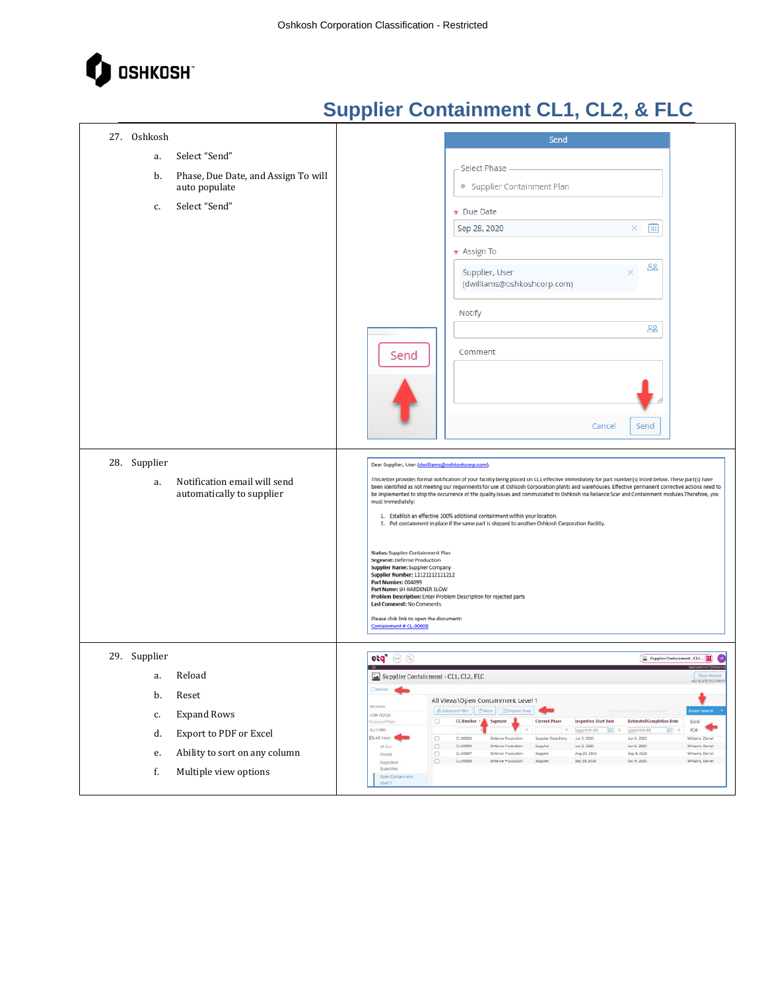

| 27. Oshkosh                               | Send                                                                                                                                                                                                                                                                                                                         |
|-------------------------------------------|------------------------------------------------------------------------------------------------------------------------------------------------------------------------------------------------------------------------------------------------------------------------------------------------------------------------------|
| Select "Send"<br>a.                       |                                                                                                                                                                                                                                                                                                                              |
| Phase, Due Date, and Assign To will<br>b. | Select Phase                                                                                                                                                                                                                                                                                                                 |
| auto populate                             | • Supplier Containment Plan                                                                                                                                                                                                                                                                                                  |
| Select "Send"<br>c.                       | * Due Date                                                                                                                                                                                                                                                                                                                   |
|                                           | 曲<br>Sep 28, 2020<br>$\times$                                                                                                                                                                                                                                                                                                |
|                                           | * Assign To                                                                                                                                                                                                                                                                                                                  |
|                                           | 28<br>Supplier, User                                                                                                                                                                                                                                                                                                         |
|                                           | (dwilliams@oshkoshcorp.com)                                                                                                                                                                                                                                                                                                  |
|                                           | Notify                                                                                                                                                                                                                                                                                                                       |
|                                           | 28                                                                                                                                                                                                                                                                                                                           |
|                                           |                                                                                                                                                                                                                                                                                                                              |
|                                           | Comment<br>Send                                                                                                                                                                                                                                                                                                              |
|                                           |                                                                                                                                                                                                                                                                                                                              |
|                                           |                                                                                                                                                                                                                                                                                                                              |
|                                           | Cancel<br>Send                                                                                                                                                                                                                                                                                                               |
|                                           |                                                                                                                                                                                                                                                                                                                              |
| 28. Supplier                              | Dear Supplier, User (dwilliams@oshkoshcorp.com),                                                                                                                                                                                                                                                                             |
| Notification email will send<br>a.        | This letter provides formal notification of your facility being placed on CL1 effective immediately for part number(s) listed below. These part(s) have                                                                                                                                                                      |
| automatically to supplier                 | been identified as not meeting our requirments for use at Oshkosh Corporation plants and warehouses. Effective permanent corrective actions need to<br>be implemented to stop the occurrence of the quality issues and commulcated to Oshkosh via Reliance Scar and Containment modules. Therefore, you<br>must immediately: |
|                                           | 1. Establish an effective 100% additional containment within your location.                                                                                                                                                                                                                                                  |
|                                           | 2. Put containment in place if the same part is shipped to another Oshkosh Corporation Facility.                                                                                                                                                                                                                             |
|                                           | Status: Supplier Containment Plan                                                                                                                                                                                                                                                                                            |
|                                           | Segment: Defense Production<br>Supplier Name: Supplier Company<br>Supplier Number: 12121212121212                                                                                                                                                                                                                            |
|                                           | Part Number: 004099<br>Part Name: LH HARDENER SLOW                                                                                                                                                                                                                                                                           |
|                                           | Problem Description: Enter Problem Description for rejected parts<br>Last Comment: No Comments                                                                                                                                                                                                                               |
|                                           | Please click link to open the document:<br>Containment # CL-00008                                                                                                                                                                                                                                                            |
|                                           |                                                                                                                                                                                                                                                                                                                              |
| 29. Supplier                              | $eq$ $\odot$ $\odot$<br>Supplier Containment - CL1 (                                                                                                                                                                                                                                                                         |
| Reload<br>a.                              | Clase Modul<br>Supplier Containment - CL1, CL2, FLC<br>Relaxi <b>Care</b>                                                                                                                                                                                                                                                    |
| b.<br>Reset                               | All Views\Open Containment Level 1<br>MY VIEWS<br><b>IN Advanced Filter   C Resm   III Expand Rows</b><br><b>Export view to</b>                                                                                                                                                                                              |
| <b>Expand Rows</b><br>c.                  | VIDE PATTES<br>$\Box$<br>CL Number<br><b>Estimated Completion Date</b><br>Segment<br><b>Current Phase</b><br>Inspection Start Date<br>lo saved filters<br>Excel<br>ALL VIEWS<br>PDF.<br>Ÿ.<br>www.dd<br><b>Bill</b><br>獨<br>yyy-mm-dd                                                                                        |
| Export to PDF or Excel<br>d.              | <b>DAIVON</b><br>$\Box$<br>CL-00003<br>Defense Production<br>Supplier Data Entry<br>Jun 2, 2020<br>Jun 5, 2020<br>Williams, Daniel<br>0<br>CL-00004<br>All CLS<br>Dafanje Production<br>Suppler<br>Jun 2, 2020<br>Jun 5, 2020<br>Williams, Damel                                                                             |
| Ability to sort on any column<br>e.       | CL-00007<br>Aug 26, 2020<br>о<br>Defense Production<br>Suppler<br>Sep 4, 2020<br>Williams, Damell<br>Closed<br>$\Box$<br>$C1 - COOOB$<br>Sep 28, 2020<br>Oct 9, 2020<br>Defense Production<br>Supplier<br>Williams, Darrell<br>Inspection                                                                                    |
| f.<br>Multiple view options               | Quantities<br>Open Containment<br>Level 1                                                                                                                                                                                                                                                                                    |
|                                           |                                                                                                                                                                                                                                                                                                                              |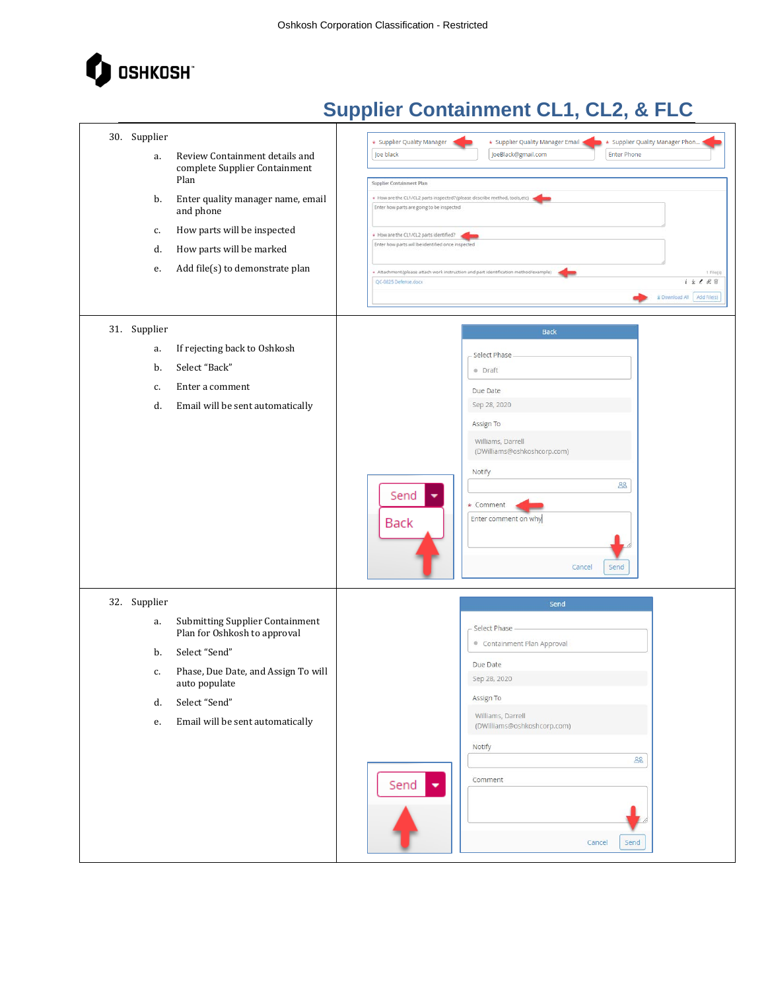

| 30. Supplier<br>a.<br>b.<br>c.<br>d.<br>e. | Review Containment details and<br>complete Supplier Containment<br>Plan<br>Enter quality manager name, email<br>and phone<br>How parts will be inspected<br>How parts will be marked<br>Add file(s) to demonstrate plan | * Supplier Quality Manager Phon<br>* Supplier Quality Manager<br>* Supplier Quality Manager Email<br>JoeBlack@gmail.com<br><b>Enter Phone</b><br>Joe black<br>Supplier Containment Plan<br>+ How are the CL1/CL2 parts inspected? (please describe method, tools,etc)<br>Enter how parts are going to be inspected<br>+ How are the CL1/CL2 parts identified?<br>Enter how parts will be identified once inspected<br>+ Attachment (please attach work instruction and part identification method/example)<br>1 File(s)<br>$1 \pm 289$<br>QC-0825 Defense.docx<br>& Download All Add File(s) |
|--------------------------------------------|-------------------------------------------------------------------------------------------------------------------------------------------------------------------------------------------------------------------------|----------------------------------------------------------------------------------------------------------------------------------------------------------------------------------------------------------------------------------------------------------------------------------------------------------------------------------------------------------------------------------------------------------------------------------------------------------------------------------------------------------------------------------------------------------------------------------------------|
| 31. Supplier<br>a.<br>b.<br>c.<br>d.       | If rejecting back to Oshkosh<br>Select "Back"<br>Enter a comment<br>Email will be sent automatically                                                                                                                    | <b>Back</b><br>Select Phase<br>· Draft<br>Due Date<br>Sep 28, 2020<br>Assign To<br>Williams, Darrell<br>(DWilliams@oshkoshcorp.com)<br>Notify<br>88<br>Send<br>* Comment<br>Enter comment on why<br><b>Back</b><br>Send<br>Cancel                                                                                                                                                                                                                                                                                                                                                            |
| 32. Supplier<br>a.<br>b.<br>c.<br>d.<br>e. | <b>Submitting Supplier Containment</b><br>Plan for Oshkosh to approval<br>Select "Send"<br>Phase, Due Date, and Assign To will<br>auto populate<br>Select "Send"<br>Email will be sent automatically                    | Send<br>Select Phase<br>Containment Plan Approval<br>Due Date<br>Sep 28, 2020<br>Assign To<br>Williams, Darrell<br>(DWilliams@oshkoshcorp.com)<br>Notify<br>88<br>Comment<br>Send<br>٠<br>Cancel<br>Send                                                                                                                                                                                                                                                                                                                                                                                     |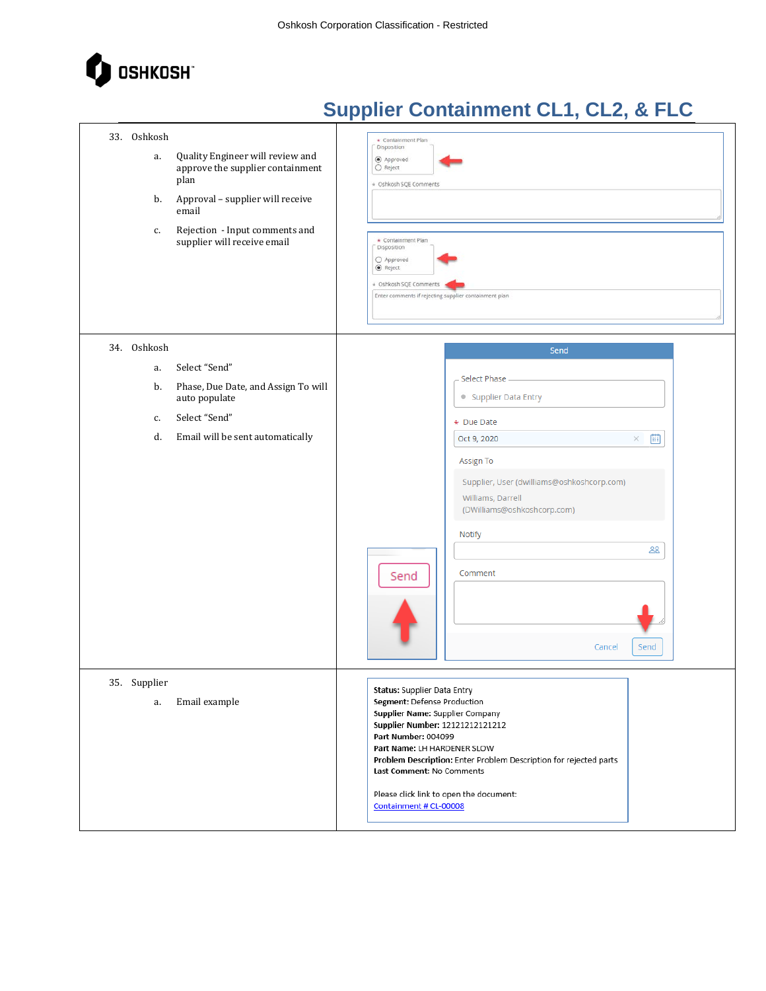

| 33. Oshkosh<br>Quality Engineer will review and<br>a.<br>approve the supplier containment<br>plan<br>Approval - supplier will receive<br>b.<br>email<br>Rejection - Input comments and<br>c.<br>supplier will receive email | Containment Plan<br>Disposition<br>Approved<br>O Reject<br>+ Oshkosh SQE Comments<br>* Containment Plan<br>Disposition<br>O Approved<br>C Reject<br>+ Oshkosh SQE Comments<br>Enter comments if rejecting supplier containment plan                                                                                                                                  |
|-----------------------------------------------------------------------------------------------------------------------------------------------------------------------------------------------------------------------------|----------------------------------------------------------------------------------------------------------------------------------------------------------------------------------------------------------------------------------------------------------------------------------------------------------------------------------------------------------------------|
| 34. Oshkosh<br>Select "Send"<br>a.<br>Phase, Due Date, and Assign To will<br>b.<br>auto populate<br>Select "Send"<br>c.<br>Email will be sent automatically<br>d.                                                           | Send<br>Select Phase<br>• Supplier Data Entry<br>* Due Date<br>曲<br>Oct 9, 2020<br>×<br>Assign To<br>Supplier, User (dwilliams@oshkoshcorp.com)<br>Williams, Darrell<br>(DWilliams@oshkoshcorp.com)<br>Notify<br>28<br>Comment<br>Send<br>Cancel<br>Send                                                                                                             |
| 35. Supplier<br>Email example<br>a.                                                                                                                                                                                         | Status: Supplier Data Entry<br>Segment: Defense Production<br>Supplier Name: Supplier Company<br><b>Supplier Number: 12121212121212</b><br>Part Number: 004099<br>Part Name: LH HARDENER SLOW<br>Problem Description: Enter Problem Description for rejected parts<br>Last Comment: No Comments<br>Please click link to open the document:<br>Containment # CL-00008 |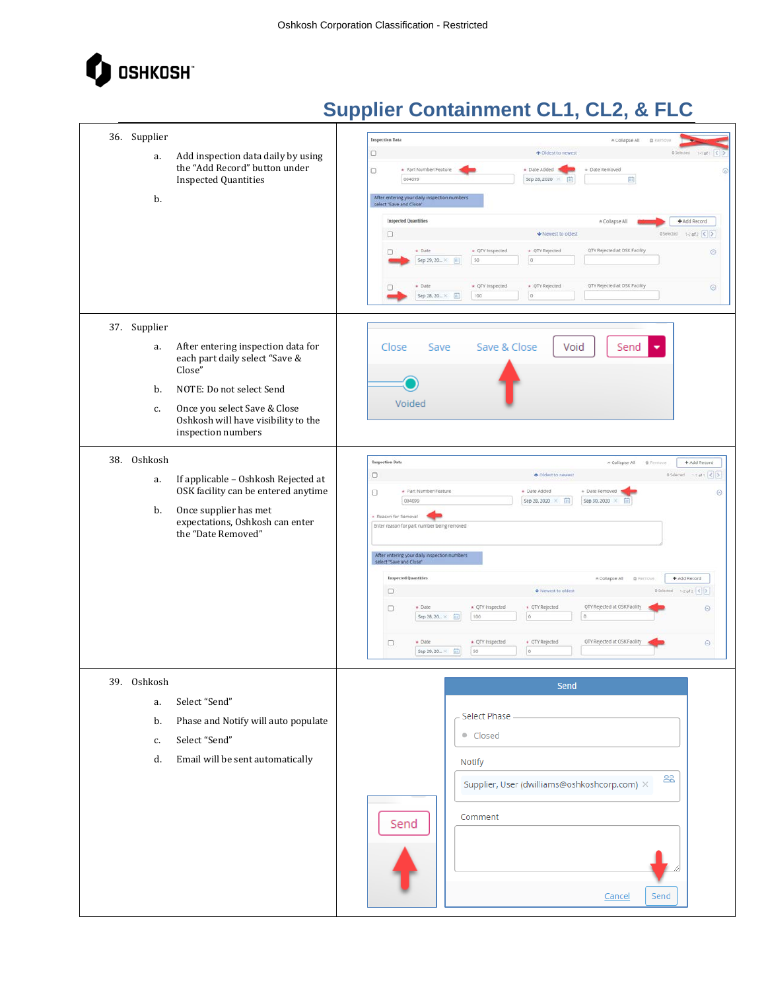

| 36. Supplier<br>Add inspection data daily by using<br>a.<br>the "Add Record" button under<br><b>Inspected Quantities</b><br>b.                                                                                                            | <b>Inspection Data</b><br>A Collapse All<br>意见<br>$\Box$<br>↑ Oldest to newest<br>OSelected 1-1 of 1 < ><br>* Part Number/Feature<br>· Date Added<br>· Date Removed<br>$\Box$<br>Õ<br>Sep 28, 2020 ×<br>而<br>004099<br>面<br>After entering your daily inspection numbers<br>select "Save and Close"<br><b>Inspected Quantities</b><br>A Collapse All<br>+ Add Record<br>DSelected $1-2$ of $2-5$<br>$\Box$<br>Wewest to oldest<br>QTY Rejected at OSK Facility<br>* QTY Inspected<br>· Date<br>* QTY Rejected<br>$\odot$<br>α<br>50<br>$\sigma$<br>Sep 29, 20 ×<br>[iii]<br>QTY Rejected at OSK Facility<br>· Date<br>* QTY Inspected<br>* QTY Rejected<br>$\odot$<br>$ 0\rangle$<br>Sep 28, 20 ×<br>100                                                                                                                                                                                    |
|-------------------------------------------------------------------------------------------------------------------------------------------------------------------------------------------------------------------------------------------|---------------------------------------------------------------------------------------------------------------------------------------------------------------------------------------------------------------------------------------------------------------------------------------------------------------------------------------------------------------------------------------------------------------------------------------------------------------------------------------------------------------------------------------------------------------------------------------------------------------------------------------------------------------------------------------------------------------------------------------------------------------------------------------------------------------------------------------------------------------------------------------------|
| 37. Supplier<br>After entering inspection data for<br>a.<br>each part daily select "Save &<br>Close"<br>b.<br>NOTE: Do not select Send<br>Once you select Save & Close<br>c.<br>Oshkosh will have visibility to the<br>inspection numbers | Save & Close<br>Void<br>Close<br>Save<br>Send<br>Voided                                                                                                                                                                                                                                                                                                                                                                                                                                                                                                                                                                                                                                                                                                                                                                                                                                     |
| 38. Oshkosh<br>If applicable - Oshkosh Rejected at<br>a.<br>OSK facility can be entered anytime<br>Once supplier has met<br>b.<br>expectations, Oshkosh can enter<br>the "Date Removed"                                                   | Inspection Data<br>+ Add Record<br>A Collapse All <i><b>B Remove</b></i><br>$\Box$<br>+ Oldest to newest<br>OSelected 1-t of 1 < ><br>* Part Number/Feature<br>+ Date Added<br>+ Date Removed<br>$\Box$<br>$\odot$<br>004099<br>Sep 30, 2020 X<br>Sep 28, 2020 X<br>$\left($ in<br>int.<br>- Reason for Removal<br>Enter reason for part number being removed<br>After entering your daily inspection numbers<br>select "Save and Close"<br>+ Add Record<br><b>Inspected Quantities</b><br>A Collapse All @ Remove<br>Vewest to oldest<br>OSelected 1-2 of 2 < ><br>$\Box$<br>QTY Rejected at OSK Facility<br>* QTY inspected<br>* QTY Rejected<br>* Date<br>$_{\odot}$<br>$\Box$<br>100<br>$\circ$<br>Sep 28, 20 × [iii]<br>$\ddot{\rm{o}}$<br>QTY Rejected at OSK Facility<br>$\div$ Date<br>+ QTY Inspected<br>+ QTY Rejected<br>$\odot$<br>$\Box$<br>50<br>$\circ$<br>Sep 29, 20 ×<br>曲 |
| 39. Oshkosh<br>Select "Send"<br>a.<br>Phase and Notify will auto populate<br>b.<br>Select "Send"<br>c.<br>Email will be sent automatically<br>d.                                                                                          | Send<br>Select Phase<br>• Closed<br>Notify<br>28<br>Supplier, User (dwilliams@oshkoshcorp.com) ×<br>Comment<br>Send<br>Send<br>Cancel                                                                                                                                                                                                                                                                                                                                                                                                                                                                                                                                                                                                                                                                                                                                                       |